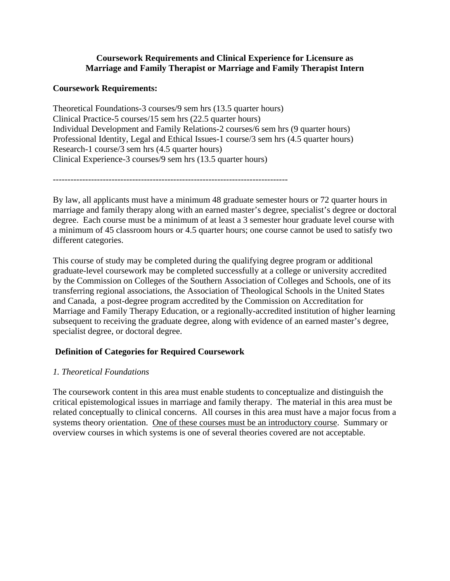## **Coursework Requirements and Clinical Experience for Licensure as Marriage and Family Therapist or Marriage and Family Therapist Intern**

## **Coursework Requirements:**

Theoretical Foundations-3 courses/9 sem hrs (13.5 quarter hours) Clinical Practice-5 courses/15 sem hrs (22.5 quarter hours) Individual Development and Family Relations-2 courses/6 sem hrs (9 quarter hours) Professional Identity, Legal and Ethical Issues-1 course/3 sem hrs (4.5 quarter hours) Research-1 course/3 sem hrs (4.5 quarter hours) Clinical Experience-3 courses/9 sem hrs (13.5 quarter hours)

By law, all applicants must have a minimum 48 graduate semester hours or 72 quarter hours in marriage and family therapy along with an earned master's degree, specialist's degree or doctoral degree. Each course must be a minimum of at least a 3 semester hour graduate level course with a minimum of 45 classroom hours or 4.5 quarter hours; one course cannot be used to satisfy two different categories.

This course of study may be completed during the qualifying degree program or additional graduate-level coursework may be completed successfully at a college or university accredited by the Commission on Colleges of the Southern Association of Colleges and Schools, one of its transferring regional associations, the Association of Theological Schools in the United States and Canada, a post-degree program accredited by the Commission on Accreditation for Marriage and Family Therapy Education, or a regionally-accredited institution of higher learning subsequent to receiving the graduate degree, along with evidence of an earned master's degree, specialist degree, or doctoral degree.

# **Definition of Categories for Required Coursework**

# *1. Theoretical Foundations*

The coursework content in this area must enable students to conceptualize and distinguish the critical epistemological issues in marriage and family therapy. The material in this area must be related conceptually to clinical concerns. All courses in this area must have a major focus from a systems theory orientation. One of these courses must be an introductory course. Summary or overview courses in which systems is one of several theories covered are not acceptable.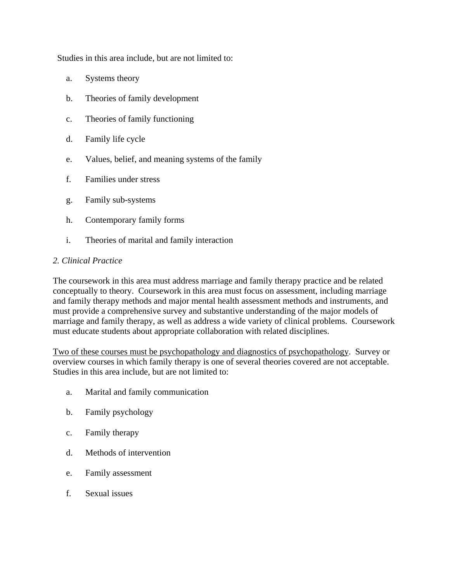Studies in this area include, but are not limited to:

- a. Systems theory
- b. Theories of family development
- c. Theories of family functioning
- d. Family life cycle
- e. Values, belief, and meaning systems of the family
- f. Families under stress
- g. Family sub-systems
- h. Contemporary family forms
- i. Theories of marital and family interaction

## *2. Clinical Practice*

The coursework in this area must address marriage and family therapy practice and be related conceptually to theory. Coursework in this area must focus on assessment, including marriage and family therapy methods and major mental health assessment methods and instruments, and must provide a comprehensive survey and substantive understanding of the major models of marriage and family therapy, as well as address a wide variety of clinical problems. Coursework must educate students about appropriate collaboration with related disciplines.

Two of these courses must be psychopathology and diagnostics of psychopathology. Survey or overview courses in which family therapy is one of several theories covered are not acceptable. Studies in this area include, but are not limited to:

- a. Marital and family communication
- b. Family psychology
- c. Family therapy
- d. Methods of intervention
- e. Family assessment
- f. Sexual issues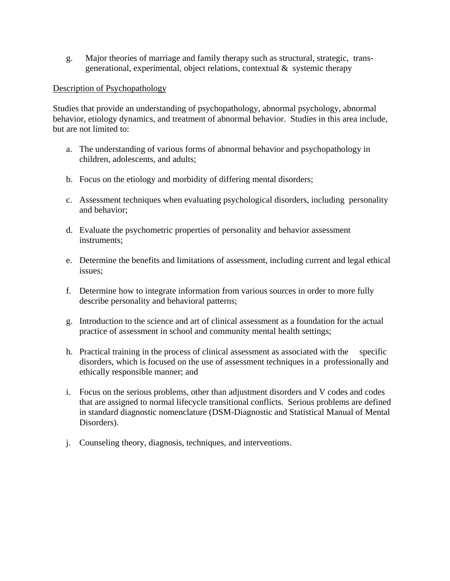g. Major theories of marriage and family therapy such as structural, strategic, transgenerational, experimental, object relations, contextual  $\&$  systemic therapy

### Description of Psychopathology

Studies that provide an understanding of psychopathology, abnormal psychology, abnormal behavior, etiology dynamics, and treatment of abnormal behavior. Studies in this area include, but are not limited to:

- a. The understanding of various forms of abnormal behavior and psychopathology in children, adolescents, and adults;
- b. Focus on the etiology and morbidity of differing mental disorders;
- c. Assessment techniques when evaluating psychological disorders, including personality and behavior;
- d. Evaluate the psychometric properties of personality and behavior assessment instruments;
- e. Determine the benefits and limitations of assessment, including current and legal ethical issues;
- f. Determine how to integrate information from various sources in order to more fully describe personality and behavioral patterns;
- g. Introduction to the science and art of clinical assessment as a foundation for the actual practice of assessment in school and community mental health settings;
- h. Practical training in the process of clinical assessment as associated with the specific disorders, which is focused on the use of assessment techniques in a professionally and ethically responsible manner; and
- i. Focus on the serious problems, other than adjustment disorders and V codes and codes that are assigned to normal lifecycle transitional conflicts. Serious problems are defined in standard diagnostic nomenclature (DSM-Diagnostic and Statistical Manual of Mental Disorders).
- j. Counseling theory, diagnosis, techniques, and interventions.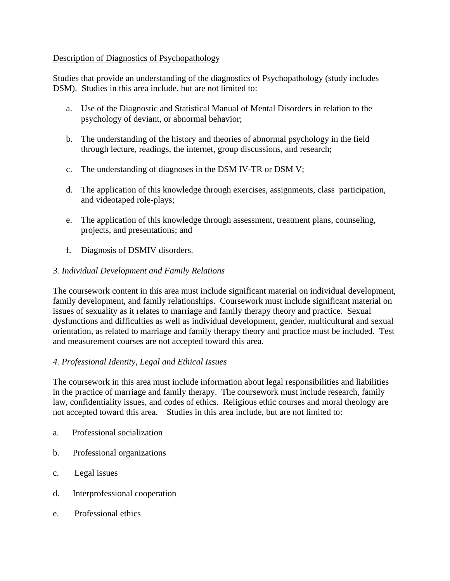## Description of Diagnostics of Psychopathology

Studies that provide an understanding of the diagnostics of Psychopathology (study includes DSM). Studies in this area include, but are not limited to:

- a. Use of the Diagnostic and Statistical Manual of Mental Disorders in relation to the psychology of deviant, or abnormal behavior;
- b. The understanding of the history and theories of abnormal psychology in the field through lecture, readings, the internet, group discussions, and research;
- c. The understanding of diagnoses in the DSM IV-TR or DSM V;
- d. The application of this knowledge through exercises, assignments, class participation, and videotaped role-plays;
- e. The application of this knowledge through assessment, treatment plans, counseling, projects, and presentations; and
- f. Diagnosis of DSMIV disorders.

# *3. Individual Development and Family Relations*

The coursework content in this area must include significant material on individual development, family development, and family relationships. Coursework must include significant material on issues of sexuality as it relates to marriage and family therapy theory and practice. Sexual dysfunctions and difficulties as well as individual development, gender, multicultural and sexual orientation, as related to marriage and family therapy theory and practice must be included. Test and measurement courses are not accepted toward this area.

# *4. Professional Identity, Legal and Ethical Issues*

The coursework in this area must include information about legal responsibilities and liabilities in the practice of marriage and family therapy. The coursework must include research, family law, confidentiality issues, and codes of ethics. Religious ethic courses and moral theology are not accepted toward this area. Studies in this area include, but are not limited to:

- a. Professional socialization
- b. Professional organizations
- c. Legal issues
- d. Interprofessional cooperation
- e. Professional ethics